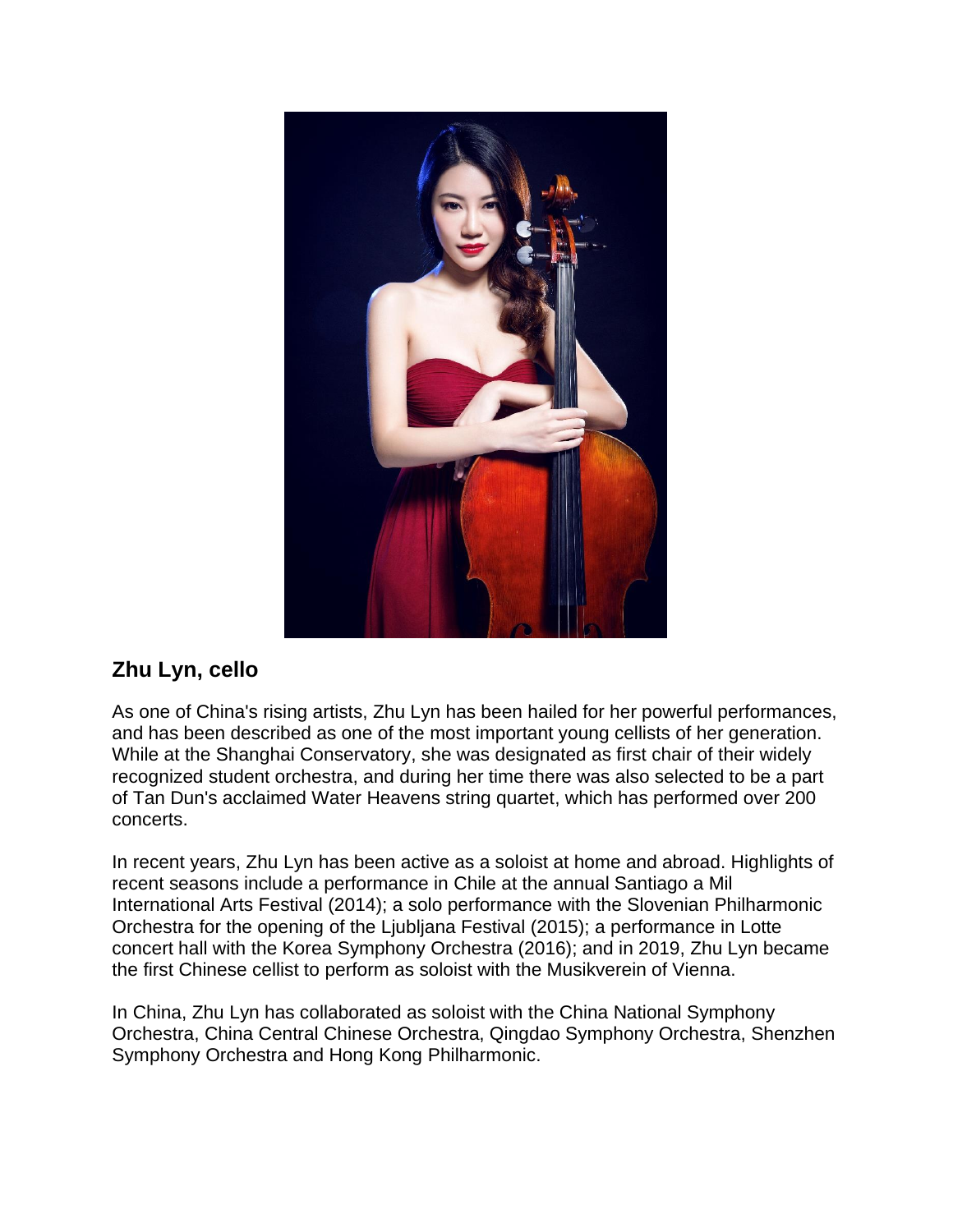

## **Zhu Lyn, cello**

As one of China's rising artists, Zhu Lyn has been hailed for her powerful performances, and has been described as one of the most important young cellists of her generation. While at the Shanghai Conservatory, she was designated as first chair of their widely recognized student orchestra, and during her time there was also selected to be a part of Tan Dun's acclaimed Water Heavens string quartet, which has performed over 200 concerts.

In recent years, Zhu Lyn has been active as a soloist at home and abroad. Highlights of recent seasons include a performance in Chile at the annual Santiago a Mil International Arts Festival (2014); a solo performance with the Slovenian Philharmonic Orchestra for the opening of the Ljubljana Festival (2015); a performance in Lotte concert hall with the Korea Symphony Orchestra (2016); and in 2019, Zhu Lyn became the first Chinese cellist to perform as soloist with the Musikverein of Vienna.

In China, Zhu Lyn has collaborated as soloist with the China National Symphony Orchestra, China Central Chinese Orchestra, Qingdao Symphony Orchestra, Shenzhen Symphony Orchestra and Hong Kong Philharmonic.